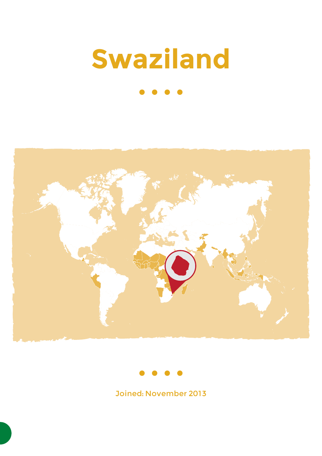# **Swaziland**





Joined: November 2013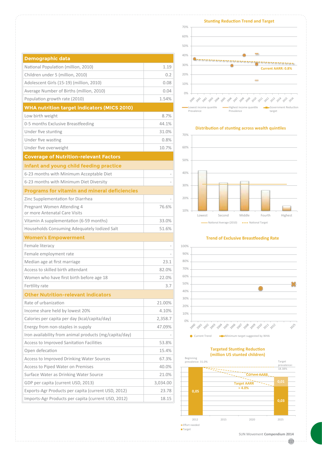| <b>Demographic data</b>                                     |          |
|-------------------------------------------------------------|----------|
| National Population (million, 2010)                         | 1.19     |
| Children under 5 (million, 2010)                            | 0.2      |
| Adolescent Girls (15-19) (million, 2010)                    | 0.08     |
| Average Number of Births (million, 2010)                    | 0.04     |
| Population growth rate (2010)                               | 1.54%    |
| <b>WHA nutrition target indicators (MICS 2010)</b>          |          |
| Low birth weight                                            | 8.7%     |
| 0-5 months Exclusive Breastfeeding                          | 44.1%    |
| Under five stunting                                         | 31.0%    |
| Under five wasting                                          | 0.8%     |
| Under five overweight                                       | 10.7%    |
| <b>Coverage of Nutrition-relevant Factors</b>               |          |
| Infant and young child feeding practice                     |          |
| 6-23 months with Minimum Acceptable Diet                    |          |
| 6-23 months with Minimum Diet Diversity                     |          |
| <b>Programs for vitamin and mineral deficiencies</b>        |          |
| Zinc Supplementation for Diarrhea                           |          |
| Pregnant Women Attending 4<br>or more Antenatal Care Visits | 76.6%    |
| Vitamin A supplementation (6-59 months)                     | 33.0%    |
| Households Consuming Adequately Iodized Salt                | 51.6%    |
| <b>Women's Empowerment</b>                                  |          |
| Female literacy                                             |          |
| Female employment rate                                      |          |
| Median age at first marriage                                | 23.1     |
| Access to skilled birth attendant                           | 82.0%    |
| Women who have first birth before age 18                    | 22.0%    |
| Fertility rate                                              | 3.7      |
| <b>Other Nutrition-relevant indicators</b>                  |          |
| Rate of urbanization                                        | 21.00%   |
| Income share held by lowest 20%                             | 4.10%    |
| Calories per capita per day (kcal/capita/day)               | 2,358.7  |
| Energy from non-staples in supply                           | 47.09%   |
| Iron availability from animal products (mg/capita/day)      |          |
| Access to Improved Sanitation Facilities                    | 53.8%    |
| Open defecation                                             | 15.4%    |
| Access to Improved Drinking Water Sources                   | 67.3%    |
| Access to Piped Water on Premises                           | 40.0%    |
| Surface Water as Drinking Water Source                      | 21.0%    |
| GDP per capita (current USD, 2013)                          | 3,034.00 |
| Exports-Agr Products per capita (current USD, 2012)         | 23.78    |
| Imports-Agr Products per capita (current USD, 2012)         | 18.15    |



#### **Distribution of stunting across wealth quintiles**



#### **Trend of Exclusive Breastfeeding Rate**



### **Targeted Stunting Reduction**

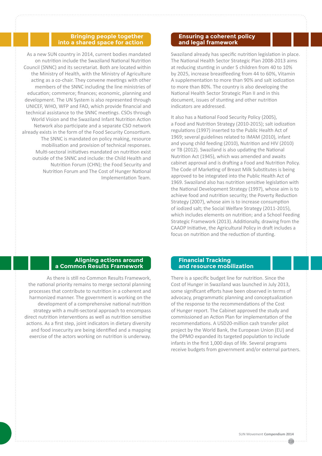#### **Bringing people together into a shared space for action**

As a new SUN country in 2014, current bodies mandated on nutrition include the Swaziland National Nutrition Council (SNNC) and its secretariat. Both are located within the Ministry of Health, with the Ministry of Agriculture acting as a co-chair. They convene meetings with other members of the SNNC including the line ministries of education; commerce; finances; economic, planning and development. The UN System is also represented through UNICEF, WHO, WFP and FAO, which provide financial and technical assistance to the SNNC meetings. CSOs through World Vision and the Swaziland Infant Nutrition Action Network also participate and a separate CSO network already exists in the form of the Food Security Consortium. The SNNC is mandated on policy making, resource mobilisation and provision of technical responses. Multi-sectoral initiatives mandated on nutrition exist outside of the SNNC and include: the Child Health and Nutrition Forum (CHN); the Food Security and Nutrition Forum and The Cost of Hunger National Implementation Team.

#### **Ensuring a coherent policy and legal framework**

Swaziland already has specific nutrition legislation in place. The National Health Sector Strategic Plan 2008-2013 aims at reducing stunting in under 5 children from 40 to 10% by 2025, increase breastfeeding from 44 to 60%, Vitamin A supplementation to more than 90% and salt iodization to more than 80%. The country is also developing the National Health Sector Strategic Plan II and in this document, issues of stunting and other nutrition indicators are addressed.

It also has a National Food Security Policy (2005), a Food and Nutrition Strategy (2010-2015); salt iodization regulations (1997) inserted to the Public Health Act of 1969; several guidelines related to IMAM (2010), infant and young child feeding (2010), Nutrition and HIV (2010) or TB (2012). Swaziland is also updating the National Nutrition Act (1945), which was amended and awaits cabinet approval and is drafting a Food and Nutrition Policy. The Code of Marketing of Breast Milk Substitutes is being approved to be integrated into the Public Health Act of 1969. Swaziland also has nutrition sensitive legislation with the National Development Strategy (1997), whose aim is to achieve food and nutrition security; the Poverty Reduction Strategy (2007), whose aim is to increase consumption of iodized salt; the Social Welfare Strategy (2011-2015), which includes elements on nutrition; and a School Feeding Strategic Framework (2013). Additionally, drawing from the CAADP Initiative, the Agricultural Policy in draft includes a focus on nutrition and the reduction of stunting.

#### **Aligning actions around a Common Results Framework**

As there is still no Common Results Framework, the national priority remains to merge sectoral planning processes that contribute to nutrition in a coherent and harmonized manner. The government is working on the development of a comprehensive national nutrition strategy with a multi-sectoral approach to encompass direct nutrition interventions as well as nutrition sensitive actions. As a first step, joint indicators in dietary diversity and food insecurity are being identified and a mapping exercise of the actors working on nutrition is underway.

#### **Financial Tracking and resource mobilization**

There is a specific budget line for nutrition. Since the Cost of Hunger in Swaziland was launched in July 2013, some significant efforts have been observed in terms of advocacy, programmatic planning and conceptualization of the response to the recommendations of the Cost of Hunger report. The Cabinet approved the study and commissioned an Action Plan for implementation of the recommendations. A USD20-million cash transfer pilot project by the World Bank, the European Union (EU) and the DPMO expanded its targeted population to include infants in the first 1,000 days of life. Several programs receive budgets from government and/or external partners.

218